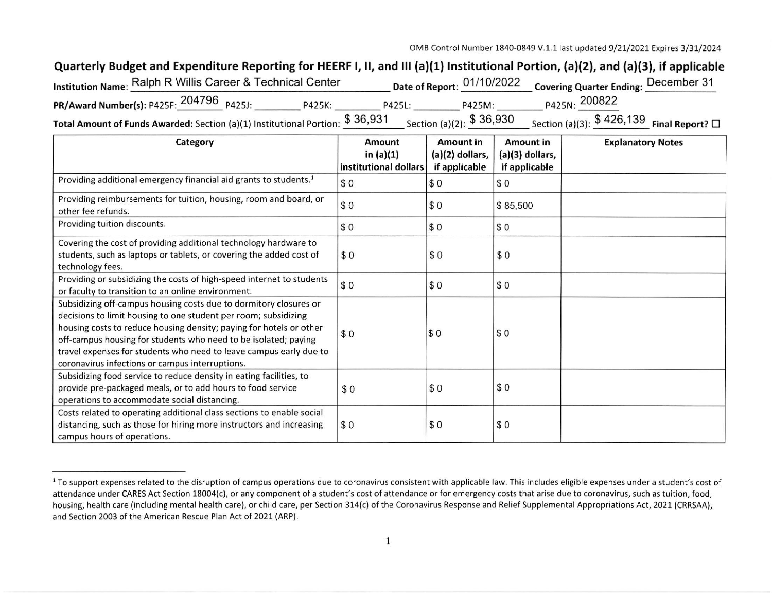## Quarterly Budget and Expenditure Reporting for HEERF I, II, and III (a)(1) Institutional Portion, (a)(2), and (a)(3), if applicable

| Institution Name: Ralph R Willis Career & Technical Center                                                                                                                                                                                                                                                          |        |        | Date of Report: 01/10/2022 Covering Quarter Ending: December 31 |               |  |
|---------------------------------------------------------------------------------------------------------------------------------------------------------------------------------------------------------------------------------------------------------------------------------------------------------------------|--------|--------|-----------------------------------------------------------------|---------------|--|
| PR/Award Number(s): P425F: 204796 P425J:                                                                                                                                                                                                                                                                            | P425K: | P425L: | P425M:                                                          | P425N: 200822 |  |
| $\frac{1}{2}$ $\frac{1}{2}$ $\frac{1}{2}$ $\frac{1}{2}$ $\frac{1}{2}$ $\frac{1}{2}$ $\frac{1}{2}$ $\frac{1}{2}$ $\frac{1}{2}$ $\frac{1}{2}$ $\frac{1}{2}$ $\frac{1}{2}$ $\frac{1}{2}$ $\frac{1}{2}$ $\frac{1}{2}$ $\frac{1}{2}$ $\frac{1}{2}$ $\frac{1}{2}$ $\frac{1}{2}$ $\frac{1}{2}$ $\frac{1}{2}$ $\frac{1}{2}$ |        |        |                                                                 |               |  |

Total Amount of Funds Awarded: Section (a)(1) Institutional Portion:  $\frac{\varphi}{\sqrt{36}}$  Section (a)(2):  $\frac{\varphi}{\sqrt{36}}$  Section (a)(3):  $\frac{\varphi}{\sqrt{36}}$  Final Report?  $\Box$ 

| Category                                                                                | <b>Amount</b>                        | <b>Amount in</b> | <b>Amount in</b>  | <b>Explanatory Notes</b> |
|-----------------------------------------------------------------------------------------|--------------------------------------|------------------|-------------------|--------------------------|
|                                                                                         | in $(a)(1)$<br>institutional dollars | (a)(2) dollars,  | $(a)(3)$ dollars, |                          |
|                                                                                         |                                      | if applicable    | if applicable     |                          |
| Providing additional emergency financial aid grants to students. <sup>1</sup>           | \$0                                  | \$0              | \$0               |                          |
| Providing reimbursements for tuition, housing, room and board, or<br>other fee refunds. | \$0                                  | \$0              | \$85,500          |                          |
| Providing tuition discounts.                                                            | \$0                                  | \$0              | \$0               |                          |
|                                                                                         |                                      |                  |                   |                          |
| Covering the cost of providing additional technology hardware to                        |                                      |                  |                   |                          |
| students, such as laptops or tablets, or covering the added cost of                     | \$0                                  | \$0              | \$0               |                          |
| technology fees.                                                                        |                                      |                  |                   |                          |
| Providing or subsidizing the costs of high-speed internet to students                   | \$0                                  | \$0              | \$0               |                          |
| or faculty to transition to an online environment.                                      |                                      |                  |                   |                          |
| Subsidizing off-campus housing costs due to dormitory closures or                       |                                      |                  |                   |                          |
| decisions to limit housing to one student per room; subsidizing                         |                                      |                  |                   |                          |
| housing costs to reduce housing density; paying for hotels or other                     |                                      | \$0              | \$0               |                          |
| off-campus housing for students who need to be isolated; paying                         | \$0                                  |                  |                   |                          |
| travel expenses for students who need to leave campus early due to                      |                                      |                  |                   |                          |
| coronavirus infections or campus interruptions.                                         |                                      |                  |                   |                          |
| Subsidizing food service to reduce density in eating facilities, to                     |                                      |                  |                   |                          |
| provide pre-packaged meals, or to add hours to food service                             | \$0                                  | \$0              | \$0               |                          |
| operations to accommodate social distancing.                                            |                                      |                  |                   |                          |
| Costs related to operating additional class sections to enable social                   |                                      |                  |                   |                          |
| distancing, such as those for hiring more instructors and increasing                    | \$0                                  | \$0              | \$0               |                          |
| campus hours of operations.                                                             |                                      |                  |                   |                          |

<sup>&</sup>lt;sup>1</sup> To support expenses related to the disruption of campus operations due to coronavirus consistent with applicable law. This includes eligible expenses under a student's cost of attendance under CARES Act Section 18004(c), or any component of a student's cost of attendance or for emergency costs that arise due to coronavirus, such as tuition, food,<br>housing, health care (including mental health car and Section 2003 of the American Rescue Plan Act of 2021 (ARP).